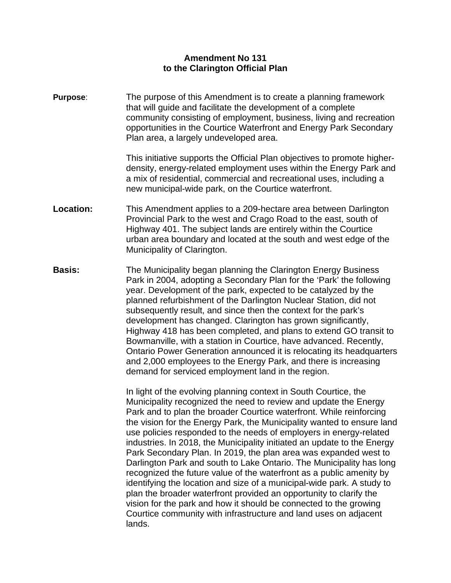## **Amendment No 131 to the Clarington Official Plan**

**Purpose**: The purpose of this Amendment is to create a planning framework that will guide and facilitate the development of a complete community consisting of employment, business, living and recreation opportunities in the Courtice Waterfront and Energy Park Secondary Plan area, a largely undeveloped area.

> This initiative supports the Official Plan objectives to promote higherdensity, energy-related employment uses within the Energy Park and a mix of residential, commercial and recreational uses, including a new municipal-wide park, on the Courtice waterfront.

- **Location:** This Amendment applies to a 209-hectare area between Darlington Provincial Park to the west and Crago Road to the east, south of Highway 401. The subject lands are entirely within the Courtice urban area boundary and located at the south and west edge of the Municipality of Clarington.
- **Basis:** The Municipality began planning the Clarington Energy Business Park in 2004, adopting a Secondary Plan for the 'Park' the following year. Development of the park, expected to be catalyzed by the planned refurbishment of the Darlington Nuclear Station, did not subsequently result, and since then the context for the park's development has changed. Clarington has grown significantly, Highway 418 has been completed, and plans to extend GO transit to Bowmanville, with a station in Courtice, have advanced. Recently, Ontario Power Generation announced it is relocating its headquarters and 2,000 employees to the Energy Park, and there is increasing demand for serviced employment land in the region.

In light of the evolving planning context in South Courtice, the Municipality recognized the need to review and update the Energy Park and to plan the broader Courtice waterfront. While reinforcing the vision for the Energy Park, the Municipality wanted to ensure land use policies responded to the needs of employers in energy-related industries. In 2018, the Municipality initiated an update to the Energy Park Secondary Plan. In 2019, the plan area was expanded west to Darlington Park and south to Lake Ontario. The Municipality has long recognized the future value of the waterfront as a public amenity by identifying the location and size of a municipal-wide park. A study to plan the broader waterfront provided an opportunity to clarify the vision for the park and how it should be connected to the growing Courtice community with infrastructure and land uses on adjacent lands.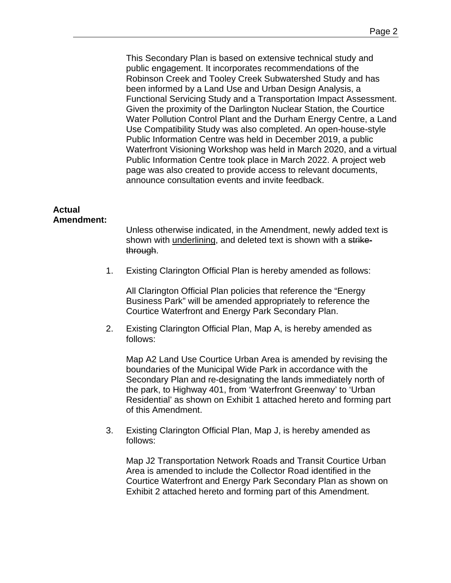This Secondary Plan is based on extensive technical study and public engagement. It incorporates recommendations of the Robinson Creek and Tooley Creek Subwatershed Study and has been informed by a Land Use and Urban Design Analysis, a Functional Servicing Study and a Transportation Impact Assessment. Given the proximity of the Darlington Nuclear Station, the Courtice Water Pollution Control Plant and the Durham Energy Centre, a Land Use Compatibility Study was also completed. An open-house-style Public Information Centre was held in December 2019, a public Waterfront Visioning Workshop was held in March 2020, and a virtual Public Information Centre took place in March 2022. A project web page was also created to provide access to relevant documents, announce consultation events and invite feedback.

## **Actual Amendment:**

Unless otherwise indicated, in the Amendment, newly added text is shown with underlining, and deleted text is shown with a strikethrough.

1. Existing Clarington Official Plan is hereby amended as follows:

All Clarington Official Plan policies that reference the "Energy Business Park" will be amended appropriately to reference the Courtice Waterfront and Energy Park Secondary Plan.

2. Existing Clarington Official Plan, Map A, is hereby amended as follows:

Map A2 Land Use Courtice Urban Area is amended by revising the boundaries of the Municipal Wide Park in accordance with the Secondary Plan and re-designating the lands immediately north of the park, to Highway 401, from 'Waterfront Greenway' to 'Urban Residential' as shown on Exhibit 1 attached hereto and forming part of this Amendment.

3. Existing Clarington Official Plan, Map J, is hereby amended as follows:

Map J2 Transportation Network Roads and Transit Courtice Urban Area is amended to include the Collector Road identified in the Courtice Waterfront and Energy Park Secondary Plan as shown on Exhibit 2 attached hereto and forming part of this Amendment.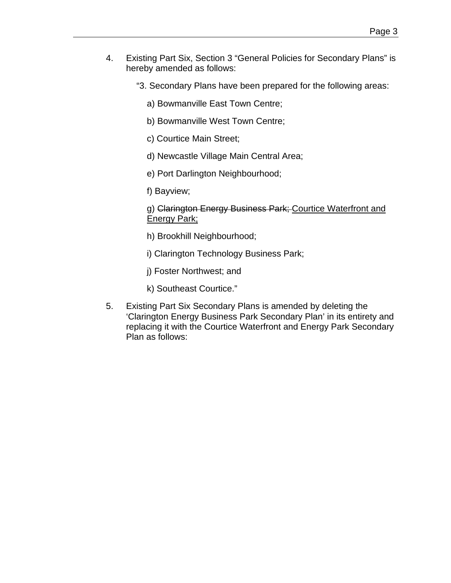- 4. Existing Part Six, Section 3 "General Policies for Secondary Plans" is hereby amended as follows:
	- "3. Secondary Plans have been prepared for the following areas:
		- a) Bowmanville East Town Centre;
		- b) Bowmanville West Town Centre;
		- c) Courtice Main Street;
		- d) Newcastle Village Main Central Area;
		- e) Port Darlington Neighbourhood;
		- f) Bayview;
		- g) Clarington Energy Business Park; Courtice Waterfront and Energy Park;
		- h) Brookhill Neighbourhood;
		- i) Clarington Technology Business Park;
		- j) Foster Northwest; and
		- k) Southeast Courtice."
- 5. Existing Part Six Secondary Plans is amended by deleting the 'Clarington Energy Business Park Secondary Plan' in its entirety and replacing it with the Courtice Waterfront and Energy Park Secondary Plan as follows: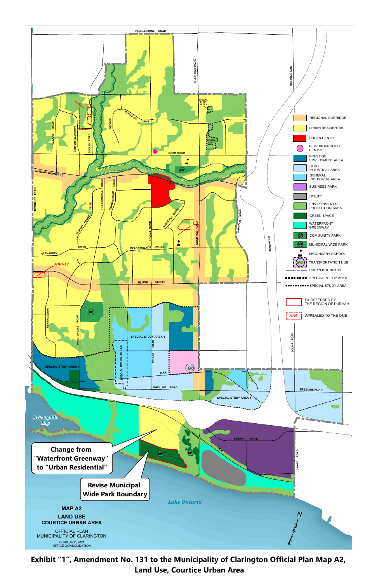

Exhibit "1", Amendment No. 131 to the Municipality of Clarington Official Plan Map A2, **Land Use, Courtice Urban Area**